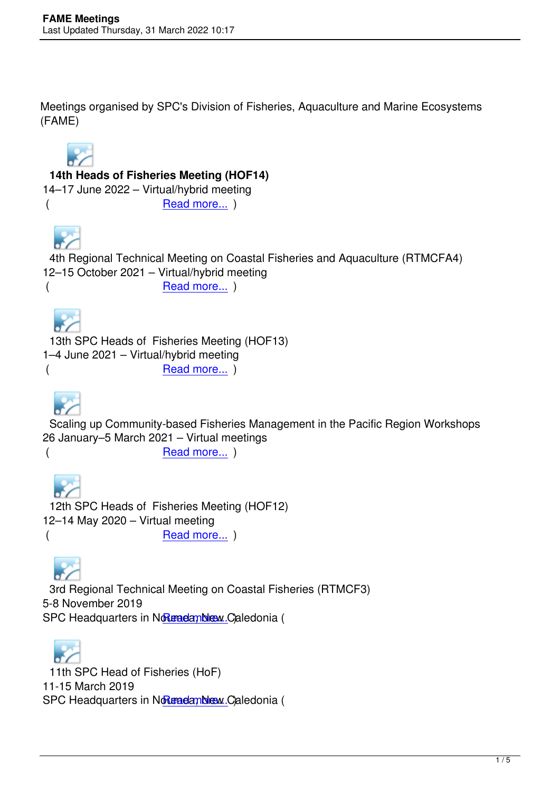Meetings organised by SPC's Division of Fisheries, Aquaculture and Marine Ecosystems (FAME)



## **14th Heads of Fisheries Meeting (HOF14)**

14–17 June 2022 – Virtual/hybrid meeting (Bead more...)

 4th Regional Technica[l Meeting on C](en/meetings/257)oastal Fisheries and Aquaculture (RTMCFA4) 12–15 October 2021 – Virtual/hybrid meeting (Read more...)

 13th SPC Heads of Fi[sheries Meeti](en/meetings/253)ng (HOF13) 1–4 June 2021 – Virtual/hybrid meeting Read more... )



 Scaling up Community[-based Fisher](en/meetings/254)ies Management in the Pacific Region Workshops 26 January–5 March 2021 – Virtual meetings

Read more... )

 12th SPC Heads of Fi[sheries Meeti](en/meetings/255)ng (HOF12) 12–14 May 2020 – Virtual meeting (Bead more...)

 3rd Regional Technica[l Meeting on C](en/meetings/250)oastal Fisheries (RTMCF3) 5-8 November 2019 SPC Headquarters in Noumedamble Caledonia (

 11th SPC Head of Fis[heries \(HoF\)](en/meetings/248) 11-15 March 2019 SPC Headquarters in Noumeda, New Caledonia (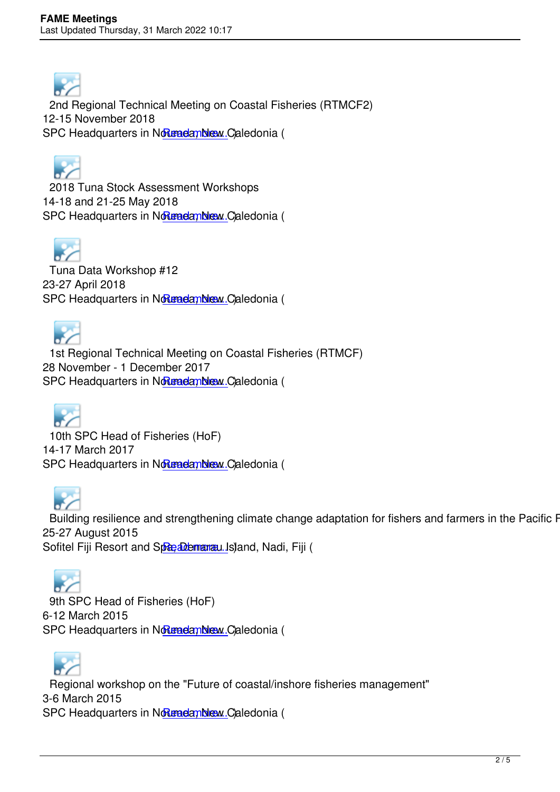

 2nd Regional Technical Meeting on Coastal Fisheries (RTMCF2) 12-15 November 2018 SPC Headquarters in Noumeda, New Caledonia (

 2018 Tuna Stock Ass[essment Work](en/meetings/241)shops 14-18 and 21-25 May 2018 SPC Headquarters in Normal and more. Caledonia (

 Tuna Data Workshop [#12](http://oceanfish.spc.int/en/ofpsection/sam/training/478-2018-tuna-stock-assessment-workshops) 23-27 April 2018 SPC Headquarters in Normal and more. Caledonia (

 1st Regional Technica[l Meeting on C](http://oceanfish.spc.int/en/meetingsworkshops/tdw/477-tuna-data-workshop-12)oastal Fisheries (RTMCF) 28 November - 1 December 2017 SPC Headquarters in Noumedamble Caledonia (



 10th SPC Head of Fis[heries \(HoF\)](en/meetings/240) 14-17 March 2017 SPC Headquarters in Notenadamblew Caledonia (

Building resilience and [strengthenin](en/meetings/239)g climate change adaptation for fishers and farmers in the Pacific Reg 25-27 August 2015 Sofitel Fiji Resort and Spa, Denarau Island, Nadi, Fiji (



 9th SPC Head of Fish[eries \(HoF\)](index.php?option=com_content&view=article&id=230:building-resilience-workshop&catid=37) 6-12 March 2015 SPC Headquarters in Noumedamble Caledonia (

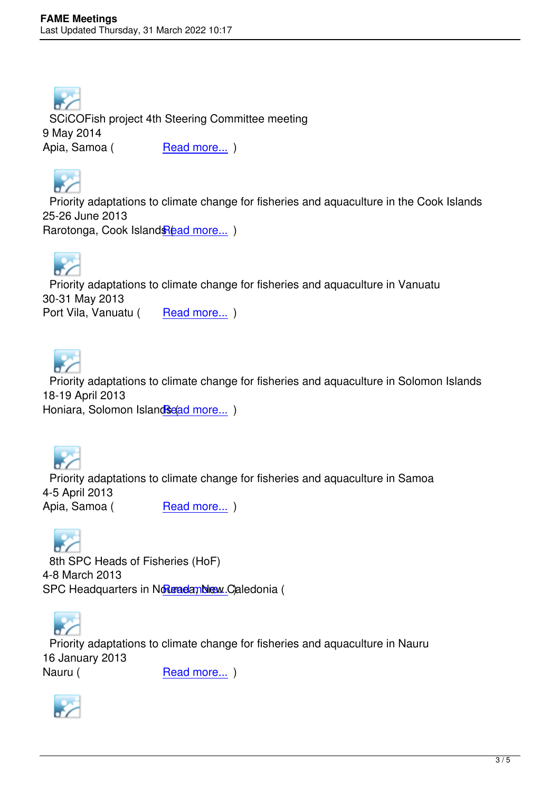

 SCiCOFish project 4th Steering Committee meeting 9 May 2014 Apia, Samoa (Read more...)



 Priority adaptations to [climate chang](en/projects/scicofish/activities/212-scicofish-sc4)e for fisheries and aquaculture in the Cook Islands 25-26 June 2013 Rarotonga, Cook Island Read more... )



 Priority adaptations to [climate chang](index.php?option=com_content&view=article&id=197:cook-islands-climate-workshop&catid=37)e for fisheries and aquaculture in Vanuatu 30-31 May 2013 Port Vila, Vanuatu (Read more...)



 Priority adaptations to climate change for fisheries and aquaculture in Solomon Islands 18-19 April 2013 Honiara, Solomon Islands (ad more...)

 Priority adaptations to climate change for fisheries and aquaculture in Samoa 4-5 April 2013 Apia, Samoa (Read more...)

 8th SPC Heads of Fis[heries \(HoF\)](index.php?option=com_content&view=article&id=173:samoa-climate-workshop&catid=37)  4-8 March 2013 SPC Headquarters in NoumedanNew Caledonia (



 Priority adaptations to [climate chang](index.php?option=com_content&view=article&id=167:eighth-spc-heads-of-fisheries-meeting&catid=37)e for fisheries and aquaculture in Nauru 16 January 2013 Nauru (
Read more...)

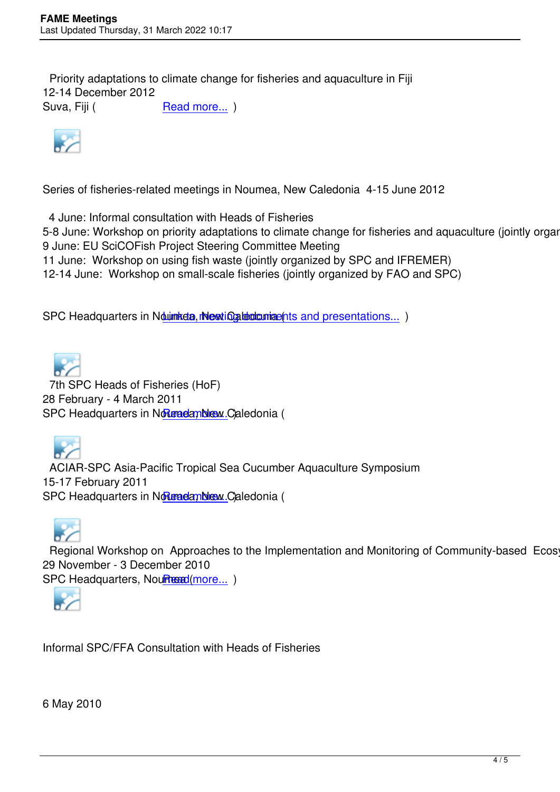Priority adaptations to climate change for fisheries and aquaculture in Fiji 12-14 December 2012 Suva, Fiji (
Read more...)



Series of fisheries-related meetings in Noumea, New Caledonia 4-15 June 2012

4 June: Informal consultation with Heads of Fisheries

5-8 June: Workshop on priority adaptations to climate change for fisheries and aquaculture (jointly organize 9 June: EU SciCOFish Project Steering Committee Meeting

11 June: Workshop on using fish waste (jointly organized by SPC and IFREMER)

12-14 June: Workshop on small-scale fisheries (jointly organized by FAO and SPC)

SPC Headquarters in Nourmidia, interting intertional to me presentations... )

 7th SPC Heads of Fisheries (HoF) 28 February - 4 March 2011 SPC Headquarters in Noumeda, New Caledonia (

 ACIAR-SPC Asia-Paci[fic Tropical Se](index.php?option=com_content&view=article&id=82:seventh-spc-heads-of-fisheries-meeting&catid=37)a Cucumber Aquaculture Symposium 15-17 February 2011 SPC Headquarters in Normal and more. Caledonia (

Regional Workshop o[n Approaches](http://www.spc.int/coastfish/en/component/content/article/380-aciar-spc-asia-pacific-tropical-sea-cucumber-aquaculture-symposium.html) to the Implementation and Monitoring of Community-based Ecosyste 29 November - 3 December 2010 SPC Headquarters, Noumean(more...)



Informal SPC/FFA Consultation with Heads of Fisheries

6 May 2010